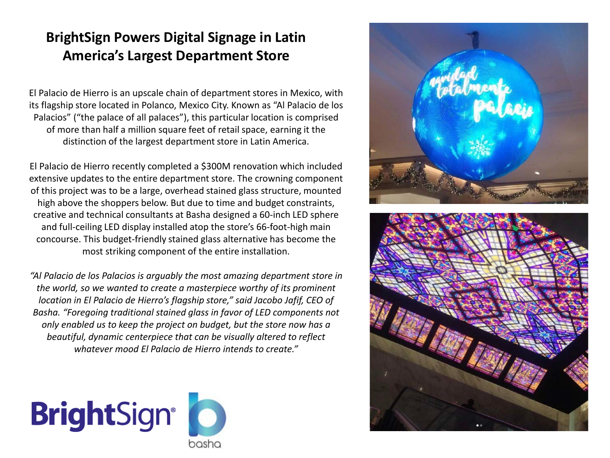## **BrightSign Powers Digital Signage in Latin America's Largest Department Store**

El Palacio de Hierro is an upscale chain of department stores in Mexico, with its flagship store located in Polanco, Mexico City. Known as "Al Palacio de los Palacios" ("the palace of all palaces"), this particular location is comprised of more than half a million square feet of retail space, earning it the distinction of the largest department store in Latin America.

El Palacio de Hierro recently completed a \$300M renovation which included extensive updates to the entire department store. The crowning component of this project was to be a large, overhead stained glass structure, mounted high above the shoppers below. But due to time and budget constraints, creative and technical consultants at Basha designed a 60-inch LED sphere and full-ceiling LED display installed atop the store's 66-foot-high main concourse. This budget-friendly stained glass alternative has become the most striking component of the entire installation.

*"Al Palacio de los Palacios is arguably the most amazing department store in the world, so we wanted to create a masterpiece worthy of its prominent location in El Palacio de Hierro's flagship store," said Jacobo Jafif, CEO of Basha. "Foregoing traditional stained glass in favor of LED components not only enabled us to keep the project on budget, but the store now has a beautiful, dynamic centerpiece that can be visually altered to reflect whatever mood El Palacio de Hierro intends to create."*